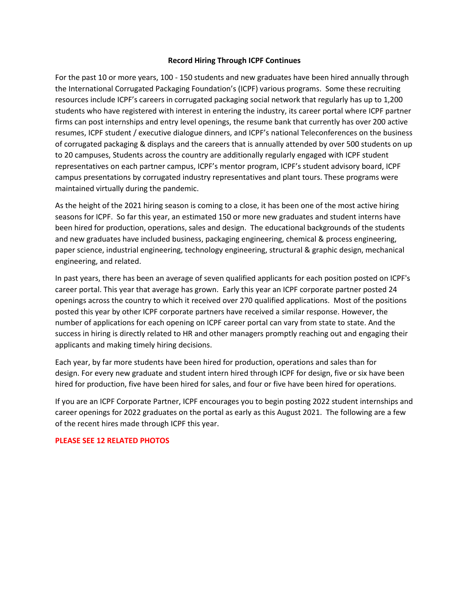#### **Record Hiring Through ICPF Continues**

For the past 10 or more years, 100 - 150 students and new graduates have been hired annually through the International Corrugated Packaging Foundation's (ICPF) various programs. Some these recruiting resources include ICPF's careers in corrugated packaging social network that regularly has up to 1,200 students who have registered with interest in entering the industry, its career portal where ICPF partner firms can post internships and entry level openings, the resume bank that currently has over 200 active resumes, ICPF student / executive dialogue dinners, and ICPF's national Teleconferences on the business of corrugated packaging & displays and the careers that is annually attended by over 500 students on up to 20 campuses, Students across the country are additionally regularly engaged with ICPF student representatives on each partner campus, ICPF's mentor program, ICPF's student advisory board, ICPF campus presentations by corrugated industry representatives and plant tours. These programs were maintained virtually during the pandemic.

As the height of the 2021 hiring season is coming to a close, it has been one of the most active hiring seasons for ICPF. So far this year, an estimated 150 or more new graduates and student interns have been hired for production, operations, sales and design. The educational backgrounds of the students and new graduates have included business, packaging engineering, chemical & process engineering, paper science, industrial engineering, technology engineering, structural & graphic design, mechanical engineering, and related.

In past years, there has been an average of seven qualified applicants for each position posted on ICPF's career portal. This year that average has grown. Early this year an ICPF corporate partner posted 24 openings across the country to which it received over 270 qualified applications. Most of the positions posted this year by other ICPF corporate partners have received a similar response. However, the number of applications for each opening on ICPF career portal can vary from state to state. And the success in hiring is directly related to HR and other managers promptly reaching out and engaging their applicants and making timely hiring decisions.

Each year, by far more students have been hired for production, operations and sales than for design. For every new graduate and student intern hired through ICPF for design, five or six have been hired for production, five have been hired for sales, and four or five have been hired for operations.

If you are an ICPF Corporate Partner, ICPF encourages you to begin posting 2022 student internships and career openings for 2022 graduates on the portal as early as this August 2021. The following are a few of the recent hires made through ICPF this year.

#### **PLEASE SEE 12 RELATED PHOTOS**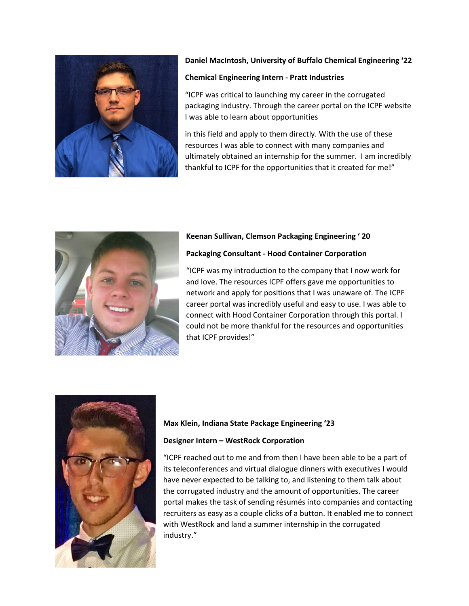

## **Daniel MacIntosh, University of Buffalo Chemical Engineering '22**

#### **Chemical Engineering Intern - Pratt Industries**

"ICPF was critical to launching my career in the corrugated packaging industry. Through the career portal on the ICPF website I was able to learn about opportunities

in this field and apply to them directly. With the use of these resources I was able to connect with many companies and ultimately obtained an internship for the summer. I am incredibly thankful to ICPF for the opportunities that it created for me!"



### **Keenan Sullivan, Clemson Packaging Engineering ' 20**

#### **Packaging Consultant - Hood Container Corporation**

"ICPF was my introduction to the company that I now work for and love. The resources ICPF offers gave me opportunities to network and apply for positions that I was unaware of. The ICPF career portal was incredibly useful and easy to use. I was able to connect with Hood Container Corporation through this portal. I could not be more thankful for the resources and opportunities that ICPF provides!"



#### **Max Klein, Indiana State Package Engineering '23**

#### **Designer Intern – WestRock Corporation**

"ICPF reached out to me and from then I have been able to be a part of its teleconferences and virtual dialogue dinners with executives I would have never expected to be talking to, and listening to them talk about the corrugated industry and the amount of opportunities. The career portal makes the task of sending résumés into companies and contacting recruiters as easy as a couple clicks of a button. It enabled me to connect with WestRock and land a summer internship in the corrugated industry."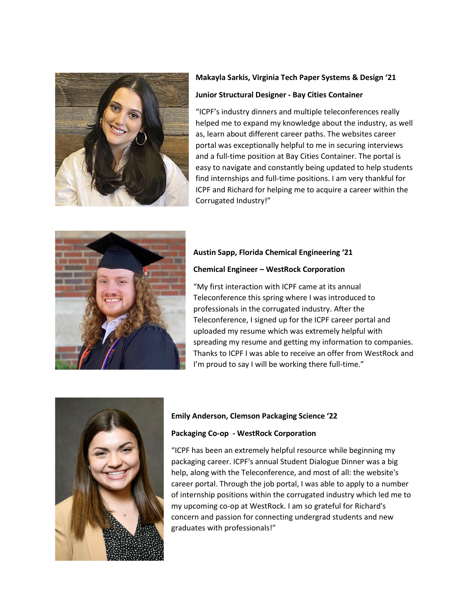

# **Makayla Sarkis, Virginia Tech Paper Systems & Design '21**

#### **Junior Structural Designer - Bay Cities Container**

"ICPF's industry dinners and multiple teleconferences really helped me to expand my knowledge about the industry, as well as, learn about different career paths. The websites career portal was exceptionally helpful to me in securing interviews and a full-time position at Bay Cities Container. The portal is easy to navigate and constantly being updated to help students find internships and full-time positions. I am very thankful for ICPF and Richard for helping me to acquire a career within the Corrugated Industry!"



## **Austin Sapp, Florida Chemical Engineering '21**

#### **Chemical Engineer – WestRock Corporation**

"My first interaction with ICPF came at its annual Teleconference this spring where I was introduced to professionals in the corrugated industry. After the Teleconference, I signed up for the ICPF career portal and uploaded my resume which was extremely helpful with spreading my resume and getting my information to companies. Thanks to ICPF I was able to receive an offer from WestRock and I'm proud to say I will be working there full-time."



#### **Emily Anderson, Clemson Packaging Science '22**

#### **Packaging Co-op - WestRock Corporation**

"ICPF has been an extremely helpful resource while beginning my packaging career. ICPF's annual Student Dialogue Dinner was a big help, along with the Teleconference, and most of all: the website's career portal. Through the job portal, I was able to apply to a number of internship positions within the corrugated industry which led me to my upcoming co-op at WestRock. I am so grateful for Richard's concern and passion for connecting undergrad students and new graduates with professionals!"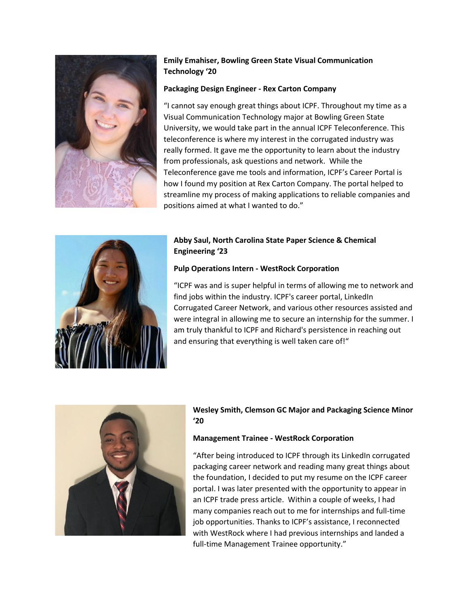

# **Emily Emahiser, Bowling Green State Visual Communication Technology '20**

## **Packaging Design Engineer - Rex Carton Company**

"I cannot say enough great things about ICPF. Throughout my time as a Visual Communication Technology major at Bowling Green State University, we would take part in the annual ICPF Teleconference. This teleconference is where my interest in the corrugated industry was really formed. It gave me the opportunity to learn about the industry from professionals, ask questions and network. While the Teleconference gave me tools and information, ICPF's Career Portal is how I found my position at Rex Carton Company. The portal helped to streamline my process of making applications to reliable companies and positions aimed at what I wanted to do."



# **Abby Saul, North Carolina State Paper Science & Chemical Engineering '23**

## **Pulp Operations Intern - WestRock Corporation**

"ICPF was and is super helpful in terms of allowing me to network and find jobs within the industry. ICPF's career portal, LinkedIn Corrugated Career Network, and various other resources assisted and were integral in allowing me to secure an internship for the summer. I am truly thankful to ICPF and Richard's persistence in reaching out and ensuring that everything is well taken care of!"



## **Wesley Smith, Clemson GC Major and Packaging Science Minor '20**

## **Management Trainee - WestRock Corporation**

"After being introduced to ICPF through its LinkedIn corrugated packaging career network and reading many great things about the foundation, I decided to put my resume on the ICPF career portal. I was later presented with the opportunity to appear in an ICPF trade press article. Within a couple of weeks, I had many companies reach out to me for internships and full-time job opportunities. Thanks to ICPF's assistance, I reconnected with WestRock where I had previous internships and landed a full-time Management Trainee opportunity."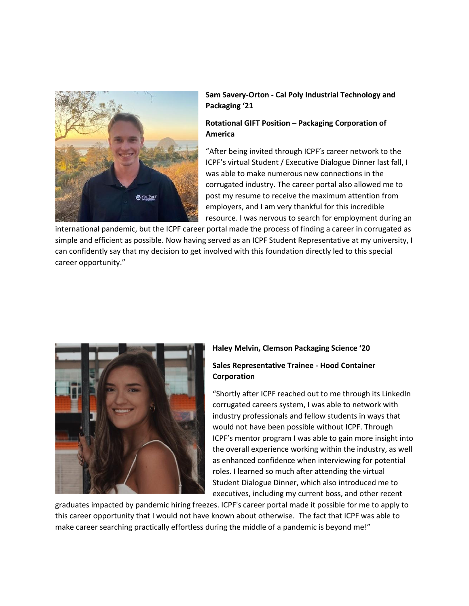

## **Sam Savery-Orton - Cal Poly Industrial Technology and Packaging '21**

## **Rotational GIFT Position – Packaging Corporation of America**

"After being invited through ICPF's career network to the ICPF's virtual Student / Executive Dialogue Dinner last fall, I was able to make numerous new connections in the corrugated industry. The career portal also allowed me to post my resume to receive the maximum attention from employers, and I am very thankful for this incredible resource. I was nervous to search for employment during an

international pandemic, but the ICPF career portal made the process of finding a career in corrugated as simple and efficient as possible. Now having served as an ICPF Student Representative at my university, I can confidently say that my decision to get involved with this foundation directly led to this special career opportunity."



#### **Haley Melvin, Clemson Packaging Science '20**

### **Sales Representative Trainee - Hood Container Corporation**

"Shortly after ICPF reached out to me through its LinkedIn corrugated careers system, I was able to network with industry professionals and fellow students in ways that would not have been possible without ICPF. Through ICPF's mentor program I was able to gain more insight into the overall experience working within the industry, as well as enhanced confidence when interviewing for potential roles. I learned so much after attending the virtual Student Dialogue Dinner, which also introduced me to executives, including my current boss, and other recent

graduates impacted by pandemic hiring freezes. ICPF's career portal made it possible for me to apply to this career opportunity that I would not have known about otherwise. The fact that ICPF was able to make career searching practically effortless during the middle of a pandemic is beyond me!"